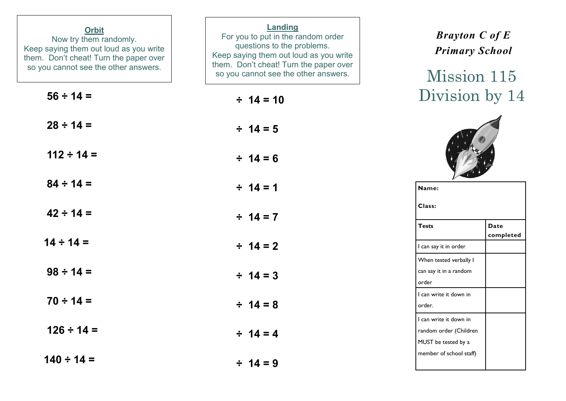| <b>Orbit</b><br>Now try them randomly.<br>Keep saying them out loud as you write<br>them. Don't cheat! Turn the paper over<br>so you cannot see the other answers. | Landing<br>For you to put in the random order<br>questions to the problems.<br>Keep saying them out loud as you write<br>them. Don't cheat! Turn the paper over<br>so you cannot see the other answers. | <b>Brayton C of E</b><br><b>Primary School</b><br>Mission 115           |
|--------------------------------------------------------------------------------------------------------------------------------------------------------------------|---------------------------------------------------------------------------------------------------------------------------------------------------------------------------------------------------------|-------------------------------------------------------------------------|
| $56 \div 14 =$                                                                                                                                                     | $\div$ 14 = 10                                                                                                                                                                                          | Division by 14                                                          |
| $28 \div 14 =$                                                                                                                                                     | $\div$ 14 = 5                                                                                                                                                                                           |                                                                         |
| $112 \div 14 =$                                                                                                                                                    | $\div$ 14 = 6                                                                                                                                                                                           |                                                                         |
| $84 \div 14 =$                                                                                                                                                     | $\div$ 14 = 1                                                                                                                                                                                           | Name:                                                                   |
| $42 \div 14 =$                                                                                                                                                     | $\div$ 14 = 7                                                                                                                                                                                           | Class:<br><b>Tests</b><br><b>Date</b>                                   |
| $14 \div 14 =$                                                                                                                                                     | $\div$ 14 = 2                                                                                                                                                                                           | completed<br>I can say it in order                                      |
| $98 \div 14 =$                                                                                                                                                     | $\div$ 14 = 3                                                                                                                                                                                           | When tested verbally I<br>can say it in a random<br>order               |
| $70 \div 14 =$                                                                                                                                                     | $\div$ 14 = 8                                                                                                                                                                                           | I can write it down in<br>order.                                        |
| $126 \div 14 =$                                                                                                                                                    | $\div$ 14 = 4                                                                                                                                                                                           | I can write it down in<br>random order (Children<br>MUST be tested by a |
| $140 \div 14 =$                                                                                                                                                    | $\div$ 14 = 9                                                                                                                                                                                           | member of school staff)                                                 |